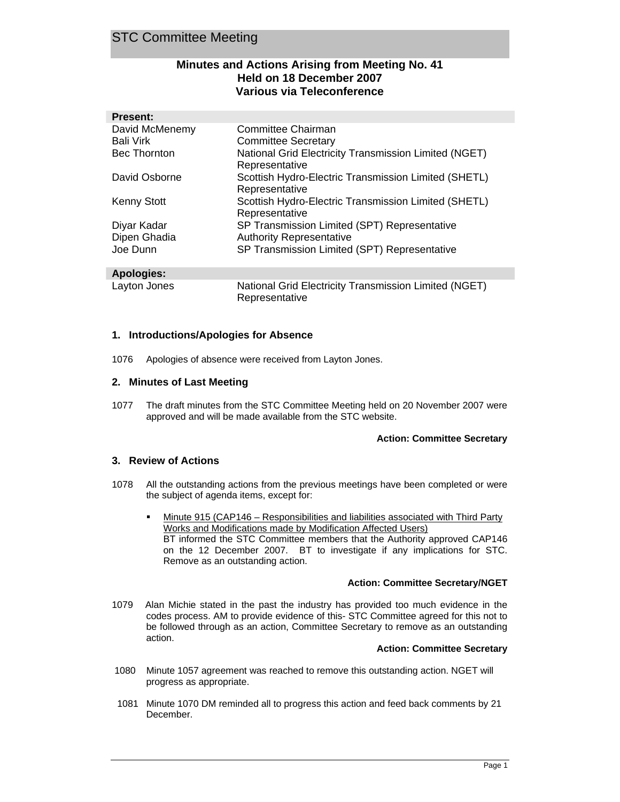# **Minutes and Actions Arising from Meeting No. 41 Held on 18 December 2007 Various via Teleconference**

| <b>Present:</b>     |                                                                         |
|---------------------|-------------------------------------------------------------------------|
| David McMenemy      | Committee Chairman                                                      |
| <b>Bali Virk</b>    | <b>Committee Secretary</b>                                              |
| <b>Bec Thornton</b> | National Grid Electricity Transmission Limited (NGET)<br>Representative |
| David Osborne       | Scottish Hydro-Electric Transmission Limited (SHETL)<br>Representative  |
| <b>Kenny Stott</b>  | Scottish Hydro-Electric Transmission Limited (SHETL)<br>Representative  |
| Diyar Kadar         | SP Transmission Limited (SPT) Representative                            |
| Dipen Ghadia        | <b>Authority Representative</b>                                         |
| Joe Dunn            | SP Transmission Limited (SPT) Representative                            |

## **Apologies:**

Layton Jones National Grid Electricity Transmission Limited (NGET) Representative

## **1. Introductions/Apologies for Absence**

1076 Apologies of absence were received from Layton Jones.

## **2. Minutes of Last Meeting**

1077 The draft minutes from the STC Committee Meeting held on 20 November 2007 were approved and will be made available from the STC website.

## **Action: Committee Secretary**

## **3. Review of Actions**

- 1078 All the outstanding actions from the previous meetings have been completed or were the subject of agenda items, except for:
	- Minute 915 (CAP146 Responsibilities and liabilities associated with Third Party Works and Modifications made by Modification Affected Users) BT informed the STC Committee members that the Authority approved CAP146 on the 12 December 2007. BT to investigate if any implications for STC. Remove as an outstanding action.

## **Action: Committee Secretary/NGET**

1079 Alan Michie stated in the past the industry has provided too much evidence in the codes process. AM to provide evidence of this- STC Committee agreed for this not to be followed through as an action, Committee Secretary to remove as an outstanding action.

## **Action: Committee Secretary**

- 1080 Minute 1057 agreement was reached to remove this outstanding action. NGET will progress as appropriate.
- 1081 Minute 1070 DM reminded all to progress this action and feed back comments by 21 December.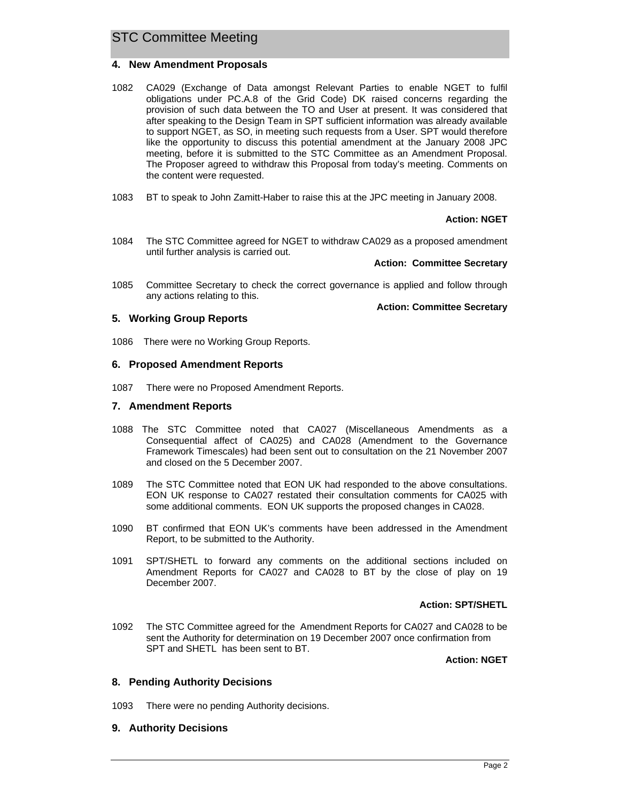## **4. New Amendment Proposals**

- 1082 CA029 (Exchange of Data amongst Relevant Parties to enable NGET to fulfil obligations under PC.A.8 of the Grid Code) DK raised concerns regarding the provision of such data between the TO and User at present. It was considered that after speaking to the Design Team in SPT sufficient information was already available to support NGET, as SO, in meeting such requests from a User. SPT would therefore like the opportunity to discuss this potential amendment at the January 2008 JPC meeting, before it is submitted to the STC Committee as an Amendment Proposal. The Proposer agreed to withdraw this Proposal from today's meeting. Comments on the content were requested.
- 1083 BT to speak to John Zamitt-Haber to raise this at the JPC meeting in January 2008.

#### **Action: NGET**

1084 The STC Committee agreed for NGET to withdraw CA029 as a proposed amendment until further analysis is carried out.

#### **Action: Committee Secretary**

1085 Committee Secretary to check the correct governance is applied and follow through any actions relating to this.

#### **Action: Committee Secretary**

### **5. Working Group Reports**

1086 There were no Working Group Reports.

### **6. Proposed Amendment Reports**

1087 There were no Proposed Amendment Reports.

### **7. Amendment Reports**

- 1088 The STC Committee noted that CA027 (Miscellaneous Amendments as a Consequential affect of CA025) and CA028 (Amendment to the Governance Framework Timescales) had been sent out to consultation on the 21 November 2007 and closed on the 5 December 2007.
- 1089 The STC Committee noted that EON UK had responded to the above consultations. EON UK response to CA027 restated their consultation comments for CA025 with some additional comments. EON UK supports the proposed changes in CA028.
- 1090 BT confirmed that EON UK's comments have been addressed in the Amendment Report, to be submitted to the Authority.
- 1091 SPT/SHETL to forward any comments on the additional sections included on Amendment Reports for CA027 and CA028 to BT by the close of play on 19 December 2007.

### **Action: SPT/SHETL**

1092 The STC Committee agreed for the Amendment Reports for CA027 and CA028 to be sent the Authority for determination on 19 December 2007 once confirmation from SPT and SHETL has been sent to BT.

**Action: NGET**

### **8. Pending Authority Decisions**

1093 There were no pending Authority decisions.

### **9. Authority Decisions**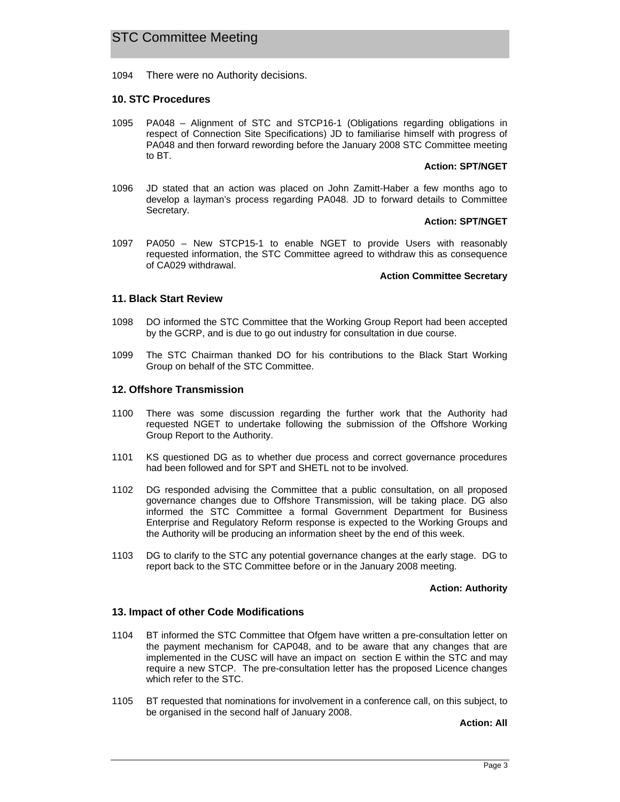1094 There were no Authority decisions.

### **10. STC Procedures**

1095 PA048 – Alignment of STC and STCP16-1 (Obligations regarding obligations in respect of Connection Site Specifications) JD to familiarise himself with progress of PA048 and then forward rewording before the January 2008 STC Committee meeting to BT.

#### **Action: SPT/NGET**

1096 JD stated that an action was placed on John Zamitt-Haber a few months ago to develop a layman's process regarding PA048. JD to forward details to Committee Secretary.

#### **Action: SPT/NGET**

1097 PA050 – New STCP15-1 to enable NGET to provide Users with reasonably requested information, the STC Committee agreed to withdraw this as consequence of CA029 withdrawal.

#### **Action Committee Secretary**

### **11. Black Start Review**

- 1098 DO informed the STC Committee that the Working Group Report had been accepted by the GCRP, and is due to go out industry for consultation in due course.
- 1099 The STC Chairman thanked DO for his contributions to the Black Start Working Group on behalf of the STC Committee.

### **12. Offshore Transmission**

- 1100 There was some discussion regarding the further work that the Authority had requested NGET to undertake following the submission of the Offshore Working Group Report to the Authority.
- 1101 KS questioned DG as to whether due process and correct governance procedures had been followed and for SPT and SHETL not to be involved.
- 1102 DG responded advising the Committee that a public consultation, on all proposed governance changes due to Offshore Transmission, will be taking place. DG also informed the STC Committee a formal Government Department for Business Enterprise and Regulatory Reform response is expected to the Working Groups and the Authority will be producing an information sheet by the end of this week.
- 1103 DG to clarify to the STC any potential governance changes at the early stage. DG to report back to the STC Committee before or in the January 2008 meeting.

#### **Action: Authority**

### **13. Impact of other Code Modifications**

- 1104 BT informed the STC Committee that Ofgem have written a pre-consultation letter on the payment mechanism for CAP048, and to be aware that any changes that are implemented in the CUSC will have an impact on section E within the STC and may require a new STCP. The pre-consultation letter has the proposed Licence changes which refer to the STC.
- 1105 BT requested that nominations for involvement in a conference call, on this subject, to be organised in the second half of January 2008.

**Action: All**